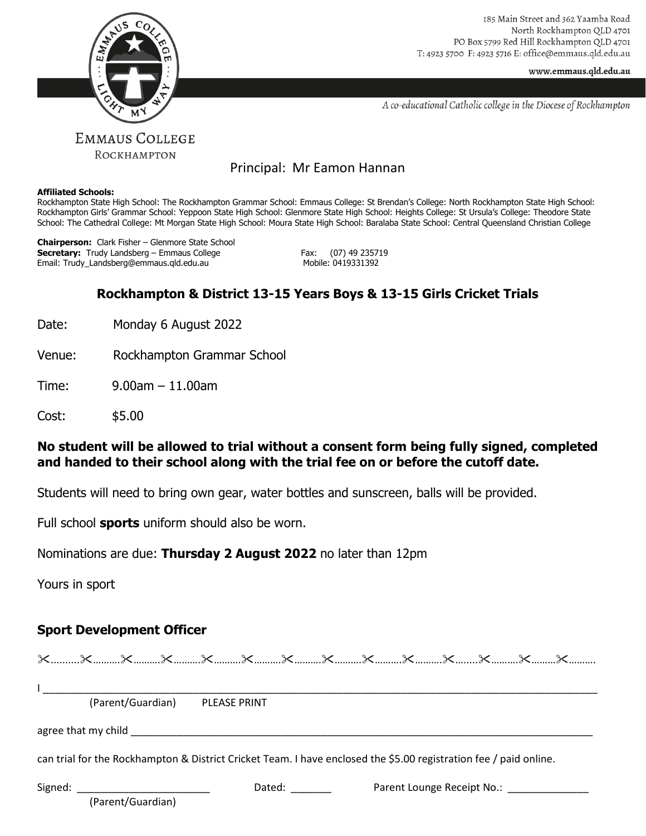

185 Main Street and 362 Yaamba Road North Rockhampton QLD 4701 PO Box 5799 Red Hill Rockhampton QLD 4701 T: 4923 5700 F: 4923 5716 E: office@emmaus.qld.edu.au

www.emmaus.qld.edu.au

A co-educational Catholic college in the Diocese of Rockhampton

# Principal: Mr Eamon Hannan

#### **Affiliated Schools:**

Rockhampton State High School: The Rockhampton Grammar School: Emmaus College: St Brendan's College: North Rockhampton State High School: Rockhampton Girls' Grammar School: Yeppoon State High School: Glenmore State High School: Heights College: St Ursula's College: Theodore State School: The Cathedral College: Mt Morgan State High School: Moura State High School: Baralaba State School: Central Queensland Christian College

**Chairperson:** Clark Fisher – Glenmore State School **Secretary:** Trudy Landsberg – Emmaus College Fax: (07) 49 235719<br>Email: Trudy Landsberg@emmaus.gld.edu.au Fax: Mobile: 0419331392 Email: Trudy\_Landsberg@emmaus.qld.edu.au

# **Rockhampton & District 13-15 Years Boys & 13-15 Girls Cricket Trials**

Date: Monday 6 August 2022

Venue: Rockhampton Grammar School

Time: 9.00am – 11.00am

Cost: \$5.00

## **No student will be allowed to trial without a consent form being fully signed, completed and handed to their school along with the trial fee on or before the cutoff date.**

Students will need to bring own gear, water bottles and sunscreen, balls will be provided.

Full school **sports** uniform should also be worn.

Nominations are due: **Thursday 2 August 2022** no later than 12pm

Yours in sport

## **Sport Development Officer**

| (Parent/Guardian)                                        | PLEASE PRINT                                                                                                      |                                           |  |
|----------------------------------------------------------|-------------------------------------------------------------------------------------------------------------------|-------------------------------------------|--|
|                                                          |                                                                                                                   |                                           |  |
|                                                          | can trial for the Rockhampton & District Cricket Team. I have enclosed the \$5.00 registration fee / paid online. |                                           |  |
| Signed: ___________________________<br>(Parent/Guardian) | Dated: and the part of the part of the part of the part of the part of the part of the part of the part of the    | Parent Lounge Receipt No.: ______________ |  |